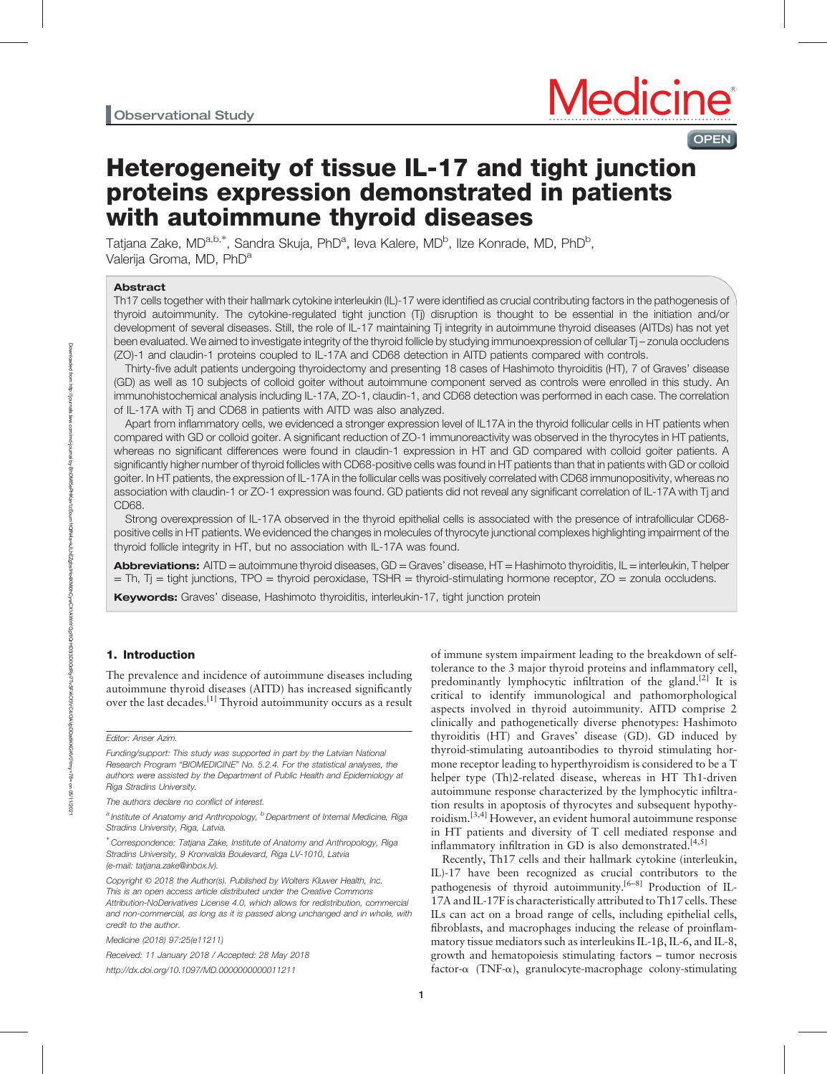**OPEN** 

# Heterogeneity of tissue IL-17 and tight junction proteins expression demonstrated in patients with autoimmune thyroid diseases

Tatjana Zake, MD<sup>a,b,\*</sup>, Sandra Skuja, PhD<sup>a</sup>, Ieva Kalere, MD<sup>b</sup>, Ilze Konrade, MD, PhD<sup>b</sup>, Valerija Groma, MD, PhD<sup>a</sup>

# Abstract

Th17 cells together with their hallmark cytokine interleukin (IL)-17 were identified as crucial contributing factors in the pathogenesis of thyroid autoimmunity. The cytokine-regulated tight junction (Tj) disruption is thought to be essential in the initiation and/or development of several diseases. Still, the role of IL-17 maintaining Tj integrity in autoimmune thyroid diseases (AITDs) has not yet been evaluated. We aimed to investigate integrity of the thyroid follicle by studying immunoexpression of cellular Tj – zonula occludens (ZO)-1 and claudin-1 proteins coupled to IL-17A and CD68 detection in AITD patients compared with controls.

Thirty-five adult patients undergoing thyroidectomy and presenting 18 cases of Hashimoto thyroiditis (HT), 7 of Graves' disease (GD) as well as 10 subjects of colloid goiter without autoimmune component served as controls were enrolled in this study. An immunohistochemical analysis including IL-17A, ZO-1, claudin-1, and CD68 detection was performed in each case. The correlation of IL-17A with Tj and CD68 in patients with AITD was also analyzed.

Apart from inflammatory cells, we evidenced a stronger expression level of IL17A in the thyroid follicular cells in HT patients when compared with GD or colloid goiter. A significant reduction of ZO-1 immunoreactivity was observed in the thyrocytes in HT patients, whereas no significant differences were found in claudin-1 expression in HT and GD compared with colloid goiter patients. A significantly higher number of thyroid follicles with CD68-positive cells was found in HT patients than that in patients with GD or colloid goiter. In HT patients, the expression of IL-17A in the follicular cells was positively correlated with CD68 immunopositivity, whereas no association with claudin-1 or ZO-1 expression was found. GD patients did not reveal any significant correlation of IL-17A with Tj and CD68.

Strong overexpression of IL-17A observed in the thyroid epithelial cells is associated with the presence of intrafollicular CD68 positive cells in HT patients. We evidenced the changes in molecules of thyrocyte junctional complexes highlighting impairment of the thyroid follicle integrity in HT, but no association with IL-17A was found.

Abbreviations: AITD = autoimmune thyroid diseases, GD = Graves' disease, HT = Hashimoto thyroiditis, IL = interleukin, Thelper  $=$  Th, T<sub>j</sub> = tight junctions, TPO  $=$  thyroid peroxidase, TSHR  $=$  thyroid-stimulating hormone receptor,  $ZO =$  zonula occludens.

Keywords: Graves' disease, Hashimoto thyroiditis, interleukin-17, tight junction protein

# 1. Introduction

The prevalence and incidence of autoimmune diseases including autoimmune thyroid diseases (AITD) has increased significantly over the last decades.[1] Thyroid autoimmunity occurs as a result

Medicine (2018) 97:25(e11211)

Received: 11 January 2018 / Accepted: 28 May 2018 <http://dx.doi.org/10.1097/MD.0000000000011211>

of immune system impairment leading to the breakdown of selftolerance to the 3 major thyroid proteins and inflammatory cell, predominantly lymphocytic infiltration of the gland.<sup>[2]</sup> It is critical to identify immunological and pathomorphological aspects involved in thyroid autoimmunity. AITD comprise 2 clinically and pathogenetically diverse phenotypes: Hashimoto thyroiditis (HT) and Graves' disease (GD). GD induced by thyroid-stimulating autoantibodies to thyroid stimulating hormone receptor leading to hyperthyroidism is considered to be a T helper type (Th)2-related disease, whereas in HT Th1-driven autoimmune response characterized by the lymphocytic infiltration results in apoptosis of thyrocytes and subsequent hypothyroidism.<sup>[3,4]</sup> However, an evident humoral autoimmune response in HT patients and diversity of T cell mediated response and inflammatory infiltration in GD is also demonstrated.<sup>[4,5]</sup>

Recently, Th17 cells and their hallmark cytokine (interleukin, IL)-17 have been recognized as crucial contributors to the pathogenesis of thyroid autoimmunity.<sup>[6-8]</sup> Production of IL-17A and IL-17F is characteristically attributed to Th17 cells. These ILs can act on a broad range of cells, including epithelial cells, fibroblasts, and macrophages inducing the release of proinflammatory tissue mediators such as interleukins IL-1 $\beta$ , IL-6, and IL-8, growth and hematopoiesis stimulating factors – tumor necrosis factor- $\alpha$  (TNF- $\alpha$ ), granulocyte-macrophage colony-stimulating

Editor: Anser Azim.

Funding/support: This study was supported in part by the Latvian National Research Program "BIOMEDICINE" No. 5.2.4. For the statistical analyses, the authors were assisted by the Department of Public Health and Epidemiology at Riga Stradins University.

The authors declare no conflict of interest.

<sup>&</sup>lt;sup>a</sup> Institute of Anatomy and Anthropology, <sup>b</sup> Department of Internal Medicine, Riga Stradins University, Riga, Latvia.

<sup>∗</sup> Correspondence: Tatjana Zake, Institute of Anatomy and Anthropology, Riga Stradins University, 9 Kronvalda Boulevard, Riga LV-1010, Latvia (e-mail: [tatjana.zake@inbox.lv\)](mailto:tatjana.zake@inbox.lv).

Copyright © 2018 the Author(s). Published by Wolters Kluwer Health, Inc. This is an open access article distributed under the [Creative Commons](http://creativecommons.org/licenses/by-nd/4.0) [Attribution-NoDerivatives License 4.0,](http://creativecommons.org/licenses/by-nd/4.0) which allows for redistribution, commercial and non-commercial, as long as it is passed along unchanged and in whole, with credit to the author.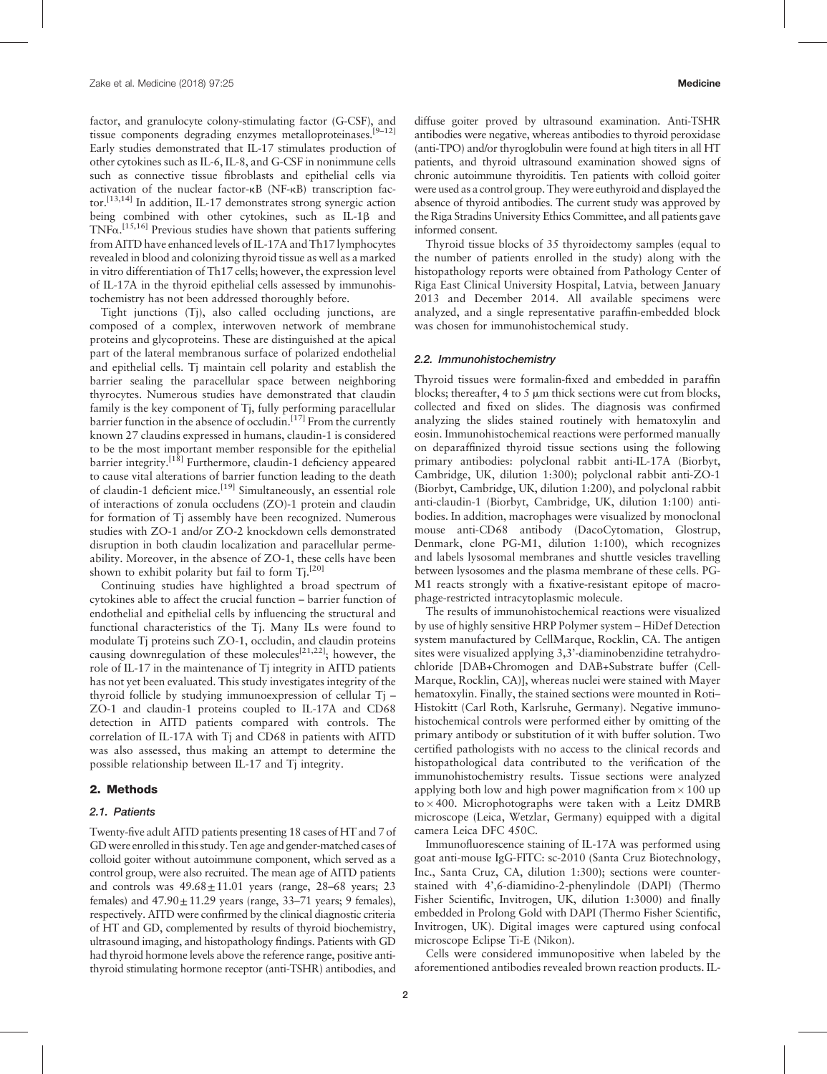factor, and granulocyte colony-stimulating factor (G-CSF), and tissue components degrading enzymes metalloproteinases.<sup>[9-12]</sup> Early studies demonstrated that IL-17 stimulates production of other cytokines such as IL-6, IL-8, and G-CSF in nonimmune cells such as connective tissue fibroblasts and epithelial cells via activation of the nuclear factor-kB (NF-kB) transcription factor.[13,14] In addition, IL-17 demonstrates strong synergic action being combined with other cytokines, such as IL-1 $\beta$  and  $TNF\alpha$ .<sup>[15,16]</sup> Previous studies have shown that patients suffering from AITD have enhanced levels of IL-17A and Th17 lymphocytes revealed in blood and colonizing thyroid tissue as well as a marked in vitro differentiation of Th17 cells; however, the expression level of IL-17A in the thyroid epithelial cells assessed by immunohistochemistry has not been addressed thoroughly before.

Tight junctions (Tj), also called occluding junctions, are composed of a complex, interwoven network of membrane proteins and glycoproteins. These are distinguished at the apical part of the lateral membranous surface of polarized endothelial and epithelial cells. Tj maintain cell polarity and establish the barrier sealing the paracellular space between neighboring thyrocytes. Numerous studies have demonstrated that claudin family is the key component of Tj, fully performing paracellular barrier function in the absence of occludin.[17] From the currently known 27 claudins expressed in humans, claudin-1 is considered to be the most important member responsible for the epithelial barrier integrity.<sup>[18]</sup> Furthermore, claudin-1 deficiency appeared to cause vital alterations of barrier function leading to the death of claudin-1 deficient mice.<sup>[19]</sup> Simultaneously, an essential role of interactions of zonula occludens (ZO)-1 protein and claudin for formation of Tj assembly have been recognized. Numerous studies with ZO-1 and/or ZO-2 knockdown cells demonstrated disruption in both claudin localization and paracellular permeability. Moreover, in the absence of ZO-1, these cells have been shown to exhibit polarity but fail to form Ti.<sup>[20]</sup>

Continuing studies have highlighted a broad spectrum of cytokines able to affect the crucial function – barrier function of endothelial and epithelial cells by influencing the structural and functional characteristics of the Tj. Many ILs were found to modulate Tj proteins such ZO-1, occludin, and claudin proteins causing downregulation of these molecules<sup>[21,22]</sup>; however, the role of IL-17 in the maintenance of Tj integrity in AITD patients has not yet been evaluated. This study investigates integrity of the thyroid follicle by studying immunoexpression of cellular Tj – ZO-1 and claudin-1 proteins coupled to IL-17A and CD68 detection in AITD patients compared with controls. The correlation of IL-17A with Tj and CD68 in patients with AITD was also assessed, thus making an attempt to determine the possible relationship between IL-17 and Tj integrity.

## 2. Methods

#### 2.1. Patients

Twenty-five adult AITD patients presenting 18 cases of HT and 7 of GD were enrolled in this study. Ten age and gender-matched cases of colloid goiter without autoimmune component, which served as a control group, were also recruited. The mean age of AITD patients and controls was  $49.68 \pm 11.01$  years (range, 28–68 years; 23 females) and  $47.90 \pm 11.29$  years (range, 33–71 years; 9 females), respectively. AITD were confirmed by the clinical diagnostic criteria of HT and GD, complemented by results of thyroid biochemistry, ultrasound imaging, and histopathology findings. Patients with GD had thyroid hormone levels above the reference range, positive antithyroid stimulating hormone receptor (anti-TSHR) antibodies, and diffuse goiter proved by ultrasound examination. Anti-TSHR antibodies were negative, whereas antibodies to thyroid peroxidase (anti-TPO) and/or thyroglobulin were found at high titers in all HT patients, and thyroid ultrasound examination showed signs of chronic autoimmune thyroiditis. Ten patients with colloid goiter were used as a control group. They were euthyroid and displayed the absence of thyroid antibodies. The current study was approved by the Riga Stradins University Ethics Committee, and all patients gave informed consent.

Thyroid tissue blocks of 35 thyroidectomy samples (equal to the number of patients enrolled in the study) along with the histopathology reports were obtained from Pathology Center of Riga East Clinical University Hospital, Latvia, between January 2013 and December 2014. All available specimens were analyzed, and a single representative paraffin-embedded block was chosen for immunohistochemical study.

## 2.2. Immunohistochemistry

Thyroid tissues were formalin-fixed and embedded in paraffin blocks; thereafter, 4 to 5  $\mu$ m thick sections were cut from blocks, collected and fixed on slides. The diagnosis was confirmed analyzing the slides stained routinely with hematoxylin and eosin. Immunohistochemical reactions were performed manually on deparaffinized thyroid tissue sections using the following primary antibodies: polyclonal rabbit anti-IL-17A (Biorbyt, Cambridge, UK, dilution 1:300); polyclonal rabbit anti-ZO-1 (Biorbyt, Cambridge, UK, dilution 1:200), and polyclonal rabbit anti-claudin-1 (Biorbyt, Cambridge, UK, dilution 1:100) antibodies. In addition, macrophages were visualized by monoclonal mouse anti-CD68 antibody (DacoCytomation, Glostrup, Denmark, clone PG-M1, dilution 1:100), which recognizes and labels lysosomal membranes and shuttle vesicles travelling between lysosomes and the plasma membrane of these cells. PG-M1 reacts strongly with a fixative-resistant epitope of macrophage-restricted intracytoplasmic molecule.

The results of immunohistochemical reactions were visualized by use of highly sensitive HRP Polymer system – HiDef Detection system manufactured by CellMarque, Rocklin, CA. The antigen sites were visualized applying 3,3'-diaminobenzidine tetrahydrochloride [DAB+Chromogen and DAB+Substrate buffer (Cell-Marque, Rocklin, CA)], whereas nuclei were stained with Mayer hematoxylin. Finally, the stained sections were mounted in Roti– Histokitt (Carl Roth, Karlsruhe, Germany). Negative immunohistochemical controls were performed either by omitting of the primary antibody or substitution of it with buffer solution. Two certified pathologists with no access to the clinical records and histopathological data contributed to the verification of the immunohistochemistry results. Tissue sections were analyzed applying both low and high power magnification from  $\times$  100 up to  $\times$  400. Microphotographs were taken with a Leitz DMRB microscope (Leica, Wetzlar, Germany) equipped with a digital camera Leica DFC 450C.

Immunofluorescence staining of IL-17A was performed using goat anti-mouse IgG-FITC: sc-2010 (Santa Cruz Biotechnology, Inc., Santa Cruz, CA, dilution 1:300); sections were counterstained with 4',6-diamidino-2-phenylindole (DAPI) (Thermo Fisher Scientific, Invitrogen, UK, dilution 1:3000) and finally embedded in Prolong Gold with DAPI (Thermo Fisher Scientific, Invitrogen, UK). Digital images were captured using confocal microscope Eclipse Ti-E (Nikon).

Cells were considered immunopositive when labeled by the aforementioned antibodies revealed brown reaction products. IL-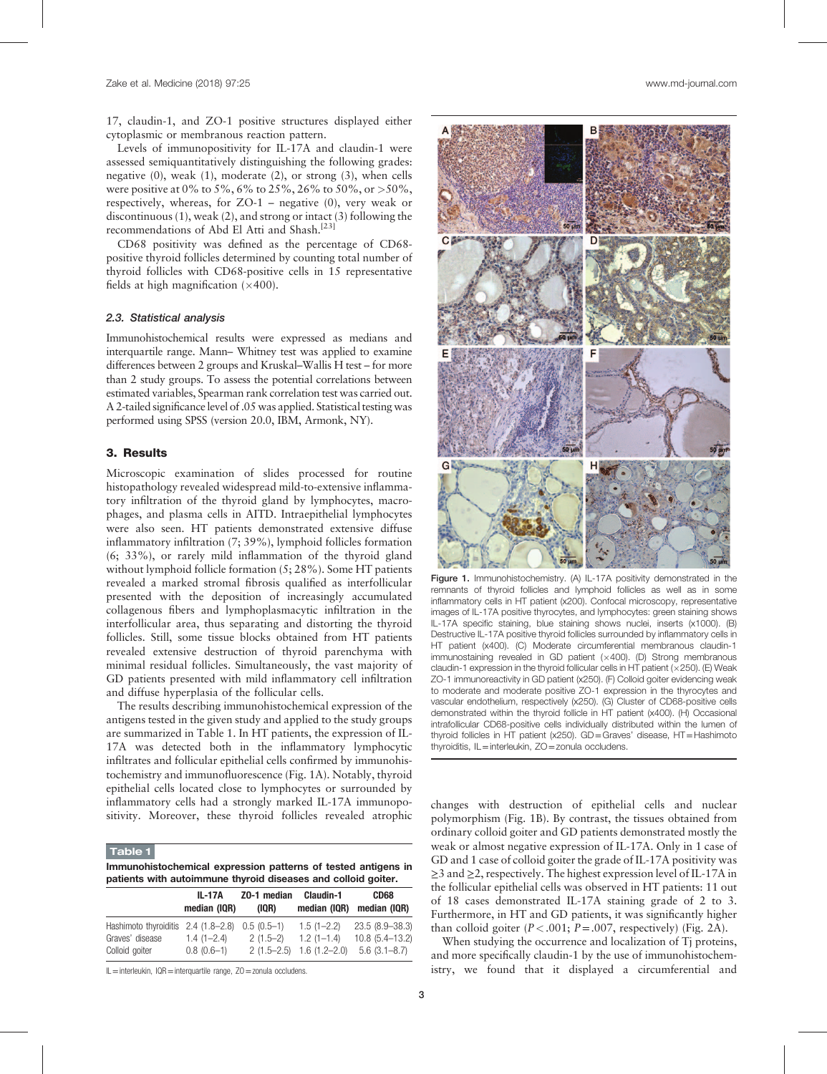17, claudin-1, and ZO-1 positive structures displayed either cytoplasmic or membranous reaction pattern.

Levels of immunopositivity for IL-17A and claudin-1 were assessed semiquantitatively distinguishing the following grades: negative (0), weak (1), moderate (2), or strong (3), when cells were positive at 0% to 5%, 6% to 25%, 26% to 50%, or  $>50\%$ , respectively, whereas, for ZO-1 – negative (0), very weak or discontinuous (1), weak (2), and strong or intact (3) following the recommendations of Abd El Atti and Shash.[23]

CD68 positivity was defined as the percentage of CD68 positive thyroid follicles determined by counting total number of thyroid follicles with CD68-positive cells in 15 representative fields at high magnification  $(\times 400)$ .

#### 2.3. Statistical analysis

Immunohistochemical results were expressed as medians and interquartile range. Mann– Whitney test was applied to examine differences between 2 groups and Kruskal–Wallis H test – for more than 2 study groups. To assess the potential correlations between estimated variables, Spearman rank correlation test was carried out. A 2-tailed significance level of .05 was applied. Statistical testing was performed using SPSS (version 20.0, IBM, Armonk, NY).

# 3. Results

Microscopic examination of slides processed for routine histopathology revealed widespread mild-to-extensive inflammatory infiltration of the thyroid gland by lymphocytes, macrophages, and plasma cells in AITD. Intraepithelial lymphocytes were also seen. HT patients demonstrated extensive diffuse inflammatory infiltration (7; 39%), lymphoid follicles formation (6; 33%), or rarely mild inflammation of the thyroid gland without lymphoid follicle formation (5; 28%). Some HT patients revealed a marked stromal fibrosis qualified as interfollicular presented with the deposition of increasingly accumulated collagenous fibers and lymphoplasmacytic infiltration in the interfollicular area, thus separating and distorting the thyroid follicles. Still, some tissue blocks obtained from HT patients revealed extensive destruction of thyroid parenchyma with minimal residual follicles. Simultaneously, the vast majority of GD patients presented with mild inflammatory cell infiltration and diffuse hyperplasia of the follicular cells.

The results describing immunohistochemical expression of the antigens tested in the given study and applied to the study groups are summarized in Table 1. In HT patients, the expression of IL-17A was detected both in the inflammatory lymphocytic infiltrates and follicular epithelial cells confirmed by immunohistochemistry and immunofluorescence (Fig. 1A). Notably, thyroid epithelial cells located close to lymphocytes or surrounded by inflammatory cells had a strongly marked IL-17A immunopo-

## Table 1

| Immunohistochemical expression patterns of tested antigens in |  |  |  |
|---------------------------------------------------------------|--|--|--|
| patients with autoimmune thyroid diseases and colloid goiter. |  |  |  |

|                                                 | <b>IL-17A</b>  | Z0-1 median | Claudin-1                    | CD68              |
|-------------------------------------------------|----------------|-------------|------------------------------|-------------------|
|                                                 | median (IQR)   | (IOR)       | median (IQR)                 | median (IQR)      |
| Hashimoto thyroiditis 2.4 (1.8–2.8) 0.5 (0.5–1) |                |             | $1.5(1 - 2.2)$               | 23.5 (8.9 - 38.3) |
| Graves' disease                                 | $1.4(1 - 2.4)$ | $2(1.5-2)$  | $1.2(1 - 1.4)$               | 10.8 (5.4-13.2)   |
| Colloid goiter                                  | $0.8(0.6-1)$   |             | $2(1.5-2.5)$ 1.6 $(1.2-2.0)$ | $5.6(3.1 - 8.7)$  |

 $II =$ interleukin, IQR=interquartile range,  $70 =$ zonula occludens.



Figure 1. Immunohistochemistry. (A) IL-17A positivity demonstrated in the remnants of thyroid follicles and lymphoid follicles as well as in some inflammatory cells in HT patient (x200). Confocal microscopy, representative images of IL-17A positive thyrocytes, and lymphocytes: green staining shows IL-17A specific staining, blue staining shows nuclei, inserts (x1000). (B) Destructive IL-17A positive thyroid follicles surrounded by inflammatory cells in HT patient (x400). (C) Moderate circumferential membranous claudin-1 immunostaining revealed in GD patient  $(x400)$ . (D) Strong membranous claudin-1 expression in the thyroid follicular cells in HT patient ( $\times$ 250). (E) Weak ZO-1 immunoreactivity in GD patient (x250). (F) Colloid goiter evidencing weak to moderate and moderate positive ZO-1 expression in the thyrocytes and vascular endothelium, respectively (x250). (G) Cluster of CD68-positive cells demonstrated within the thyroid follicle in HT patient (x400). (H) Occasional intrafollicular CD68-positive cells individually distributed within the lumen of thyroid follicles in HT patient (x250). GD=Graves' disease, HT=Hashimoto thyroiditis, IL=interleukin, ZO=zonula occludens.

inflammatory cells had a strongly marked IL-17A immunopo-<br>sitivity. Moreover, these thyroid follicles revealed atrophic changes with destruction of epithelial cells and nuclear polymorphism (Fig. 1B). By contrast, the tissues obtained from ordinary colloid goiter and GD patients demonstrated mostly the weak or almost negative expression of IL-17A. Only in 1 case of GD and 1 case of colloid goiter the grade of IL-17A positivity was ≥3 and ≥2, respectively. The highest expression level of IL-17A in the follicular epithelial cells was observed in HT patients: 11 out of 18 cases demonstrated IL-17A staining grade of 2 to 3. Furthermore, in HT and GD patients, it was significantly higher than colloid goiter  $(P < .001; P = .007$ , respectively) (Fig. 2A).

> When studying the occurrence and localization of Tj proteins, and more specifically claudin-1 by the use of immunohistochemistry, we found that it displayed a circumferential and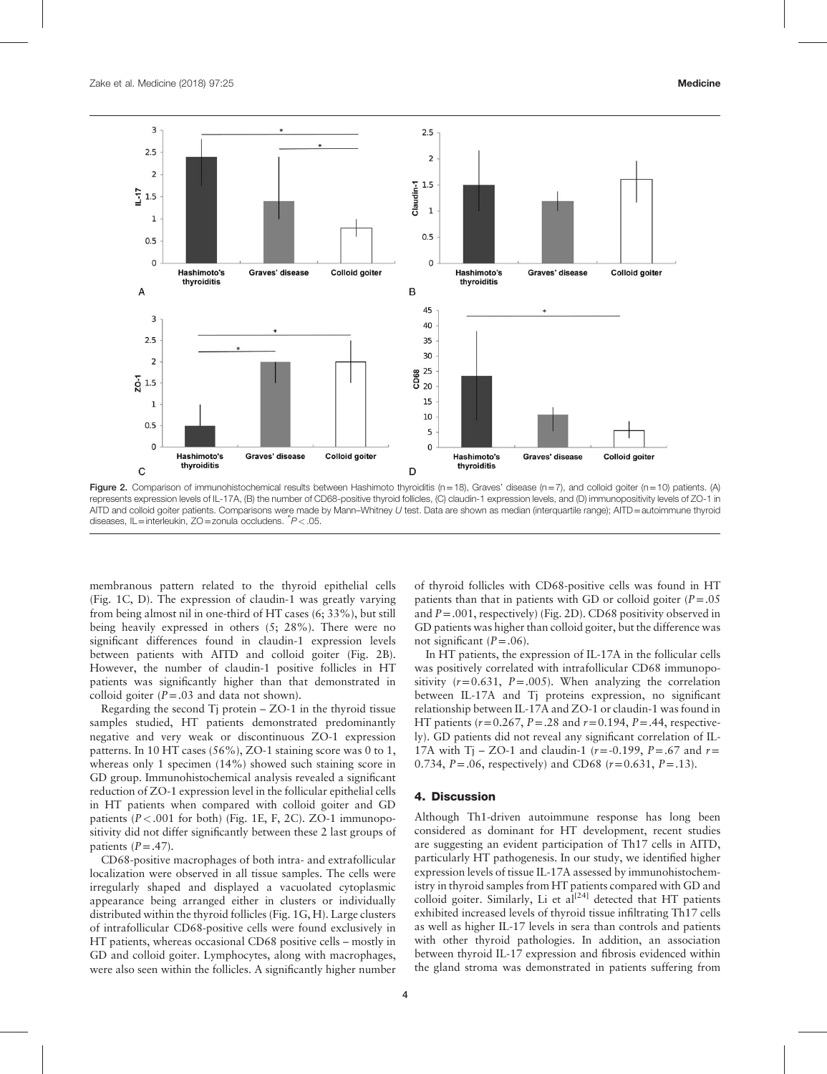

Figure 2. Comparison of immunohistochemical results between Hashimoto thyroiditis (n=18), Graves' disease (n=7), and colloid goiter (n=10) patients. (A) represents expression levels of IL-17A, (B) the number of CD68-positive thyroid follicles, (C) claudin-1 expression levels, and (D) immunopositivity levels of ZO-1 in AITD and colloid goiter patients. Comparisons were made by Mann–Whitney U test. Data are shown as median (interquartile range); AITD=autoimmune thyroid diseases, IL=interleukin, ZO=zonula occludens. <sup>∗</sup> P<.05.

membranous pattern related to the thyroid epithelial cells (Fig. 1C, D). The expression of claudin-1 was greatly varying from being almost nil in one-third of HT cases (6; 33%), but still being heavily expressed in others (5; 28%). There were no significant differences found in claudin-1 expression levels between patients with AITD and colloid goiter (Fig. 2B). However, the number of claudin-1 positive follicles in HT patients was significantly higher than that demonstrated in colloid goiter  $(P=.03$  and data not shown).

Regarding the second  $Ti$  protein  $- ZO-1$  in the thyroid tissue samples studied, HT patients demonstrated predominantly negative and very weak or discontinuous ZO-1 expression patterns. In 10 HT cases (56%), ZO-1 staining score was 0 to 1, whereas only 1 specimen (14%) showed such staining score in GD group. Immunohistochemical analysis revealed a significant reduction of ZO-1 expression level in the follicular epithelial cells in HT patients when compared with colloid goiter and GD patients ( $P < .001$  for both) (Fig. 1E, F, 2C). ZO-1 immunopositivity did not differ significantly between these 2 last groups of patients  $(P=.47)$ .

CD68-positive macrophages of both intra- and extrafollicular localization were observed in all tissue samples. The cells were irregularly shaped and displayed a vacuolated cytoplasmic appearance being arranged either in clusters or individually distributed within the thyroid follicles (Fig. 1G, H). Large clusters of intrafollicular CD68-positive cells were found exclusively in HT patients, whereas occasional CD68 positive cells – mostly in GD and colloid goiter. Lymphocytes, along with macrophages, were also seen within the follicles. A significantly higher number

of thyroid follicles with CD68-positive cells was found in HT patients than that in patients with GD or colloid goiter  $(P=.05)$ and  $P = .001$ , respectively) (Fig. 2D). CD68 positivity observed in GD patients was higher than colloid goiter, but the difference was not significant  $(P=.06)$ .

In HT patients, the expression of IL-17A in the follicular cells was positively correlated with intrafollicular CD68 immunopositivity  $(r=0.631, P=.005)$ . When analyzing the correlation between IL-17A and Tj proteins expression, no significant relationship between IL-17A and ZO-1 or claudin-1 was found in HT patients ( $r = 0.267$ ,  $P = .28$  and  $r = 0.194$ ,  $P = .44$ , respectively). GD patients did not reveal any significant correlation of IL-17A with T<sub>1</sub> – ZO-1 and claudin-1 ( $r = -0.199$ ,  $P = .67$  and  $r =$ 0.734,  $P = .06$ , respectively) and CD68 ( $r = 0.631$ ,  $P = .13$ ).

#### 4. Discussion

Although Th1-driven autoimmune response has long been considered as dominant for HT development, recent studies are suggesting an evident participation of Th17 cells in AITD, particularly HT pathogenesis. In our study, we identified higher expression levels of tissue IL-17A assessed by immunohistochemistry in thyroid samples from HT patients compared with GD and colloid goiter. Similarly, Li et  $al^{[24]}$  detected that HT patients exhibited increased levels of thyroid tissue infiltrating Th17 cells as well as higher IL-17 levels in sera than controls and patients with other thyroid pathologies. In addition, an association between thyroid IL-17 expression and fibrosis evidenced within the gland stroma was demonstrated in patients suffering from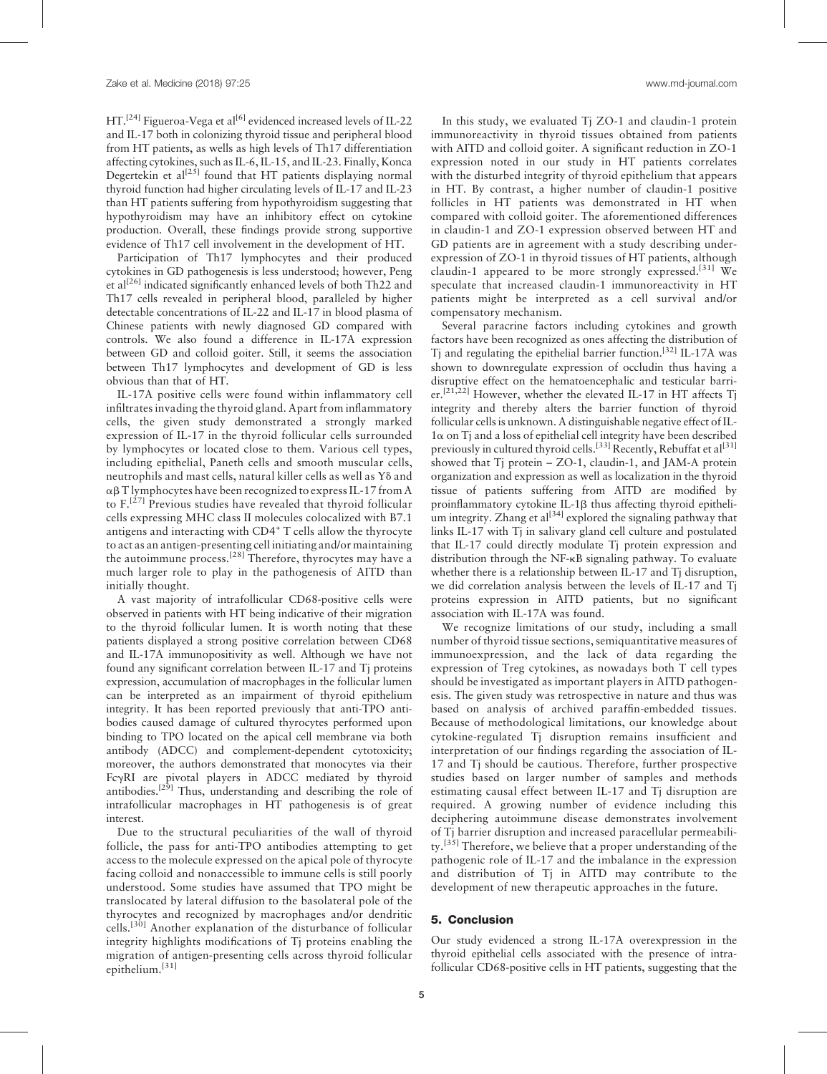HT.<sup>[24]</sup> Figueroa-Vega et al<sup>[6]</sup> evidenced increased levels of IL-22 and IL-17 both in colonizing thyroid tissue and peripheral blood from HT patients, as wells as high levels of Th17 differentiation affecting cytokines, such as IL-6, IL-15, and IL-23. Finally, Konca Degertekin et al<sup>[25]</sup> found that HT patients displaying normal thyroid function had higher circulating levels of IL-17 and IL-23 than HT patients suffering from hypothyroidism suggesting that hypothyroidism may have an inhibitory effect on cytokine production. Overall, these findings provide strong supportive evidence of Th17 cell involvement in the development of HT.

Participation of Th17 lymphocytes and their produced cytokines in GD pathogenesis is less understood; however, Peng et al<sup>[26]</sup> indicated significantly enhanced levels of both Th22 and Th17 cells revealed in peripheral blood, paralleled by higher detectable concentrations of IL-22 and IL-17 in blood plasma of Chinese patients with newly diagnosed GD compared with controls. We also found a difference in IL-17A expression between GD and colloid goiter. Still, it seems the association between Th17 lymphocytes and development of GD is less obvious than that of HT.

IL-17A positive cells were found within inflammatory cell infiltrates invading the thyroid gland. Apart from inflammatory cells, the given study demonstrated a strongly marked expression of IL-17 in the thyroid follicular cells surrounded by lymphocytes or located close to them. Various cell types, including epithelial, Paneth cells and smooth muscular cells, neutrophils and mast cells, natural killer cells as well as Yo and  $\alpha\beta$  T lymphocytes have been recognized to express IL-17 from A to  $F<sup>[27]</sup>$  Previous studies have revealed that thyroid follicular cells expressing MHC class II molecules colocalized with B7.1 antigens and interacting with CD4<sup>+</sup> T cells allow the thyrocyte to act as an antigen-presenting cell initiating and/or maintaining the autoimmune process.[28] Therefore, thyrocytes may have a much larger role to play in the pathogenesis of AITD than initially thought.

A vast majority of intrafollicular CD68-positive cells were observed in patients with HT being indicative of their migration to the thyroid follicular lumen. It is worth noting that these patients displayed a strong positive correlation between CD68 and IL-17A immunopositivity as well. Although we have not found any significant correlation between IL-17 and Tj proteins expression, accumulation of macrophages in the follicular lumen can be interpreted as an impairment of thyroid epithelium integrity. It has been reported previously that anti-TPO antibodies caused damage of cultured thyrocytes performed upon binding to TPO located on the apical cell membrane via both antibody (ADCC) and complement-dependent cytotoxicity; moreover, the authors demonstrated that monocytes via their FcgRI are pivotal players in ADCC mediated by thyroid antibodies.<sup>[29]</sup> Thus, understanding and describing the role of intrafollicular macrophages in HT pathogenesis is of great interest.

Due to the structural peculiarities of the wall of thyroid follicle, the pass for anti-TPO antibodies attempting to get access to the molecule expressed on the apical pole of thyrocyte facing colloid and nonaccessible to immune cells is still poorly understood. Some studies have assumed that TPO might be translocated by lateral diffusion to the basolateral pole of the thyrocytes and recognized by macrophages and/or dendritic cells.[30] Another explanation of the disturbance of follicular integrity highlights modifications of Tj proteins enabling the migration of antigen-presenting cells across thyroid follicular epithelium.[31]

In this study, we evaluated Ti ZO-1 and claudin-1 protein immunoreactivity in thyroid tissues obtained from patients with AITD and colloid goiter. A significant reduction in ZO-1 expression noted in our study in HT patients correlates with the disturbed integrity of thyroid epithelium that appears in HT. By contrast, a higher number of claudin-1 positive follicles in HT patients was demonstrated in HT when compared with colloid goiter. The aforementioned differences in claudin-1 and ZO-1 expression observed between HT and GD patients are in agreement with a study describing underexpression of ZO-1 in thyroid tissues of HT patients, although claudin-1 appeared to be more strongly expressed.<sup>[31]</sup> We speculate that increased claudin-1 immunoreactivity in HT patients might be interpreted as a cell survival and/or compensatory mechanism.

Several paracrine factors including cytokines and growth factors have been recognized as ones affecting the distribution of Tj and regulating the epithelial barrier function.[32] IL-17A was shown to downregulate expression of occludin thus having a disruptive effect on the hematoencephalic and testicular barrier.<sup>[21,22]</sup> However, whether the elevated IL-17 in HT affects Tj integrity and thereby alters the barrier function of thyroid follicular cells is unknown. A distinguishable negative effect of IL- $1\alpha$  on Ti and a loss of epithelial cell integrity have been described previously in cultured thyroid cells.<sup>[33]</sup> Recently, Rebuffat et al<sup>[31]</sup> showed that Tj protein – ZO-1, claudin-1, and JAM-A protein organization and expression as well as localization in the thyroid tissue of patients suffering from AITD are modified by proinflammatory cytokine IL-1b thus affecting thyroid epithelium integrity. Zhang et al<sup>[34]</sup> explored the signaling pathway that links IL-17 with Tj in salivary gland cell culture and postulated that IL-17 could directly modulate Tj protein expression and distribution through the NF-kB signaling pathway. To evaluate whether there is a relationship between IL-17 and Tj disruption, we did correlation analysis between the levels of IL-17 and Tj proteins expression in AITD patients, but no significant association with IL-17A was found.

We recognize limitations of our study, including a small number of thyroid tissue sections, semiquantitative measures of immunoexpression, and the lack of data regarding the expression of Treg cytokines, as nowadays both T cell types should be investigated as important players in AITD pathogenesis. The given study was retrospective in nature and thus was based on analysis of archived paraffin-embedded tissues. Because of methodological limitations, our knowledge about cytokine-regulated Tj disruption remains insufficient and interpretation of our findings regarding the association of IL-17 and Tj should be cautious. Therefore, further prospective studies based on larger number of samples and methods estimating causal effect between IL-17 and Tj disruption are required. A growing number of evidence including this deciphering autoimmune disease demonstrates involvement of Tj barrier disruption and increased paracellular permeability.<sup>[35]</sup> Therefore, we believe that a proper understanding of the pathogenic role of IL-17 and the imbalance in the expression and distribution of Tj in AITD may contribute to the development of new therapeutic approaches in the future.

## 5. Conclusion

Our study evidenced a strong IL-17A overexpression in the thyroid epithelial cells associated with the presence of intrafollicular CD68-positive cells in HT patients, suggesting that the